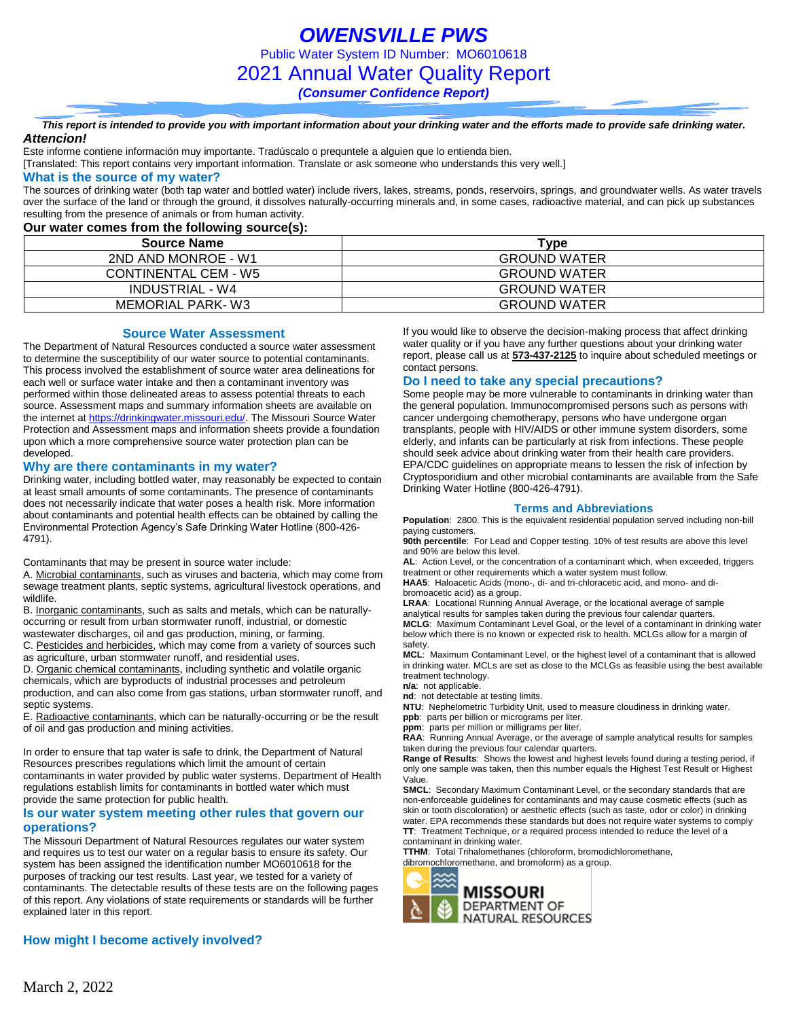*OWENSVILLE PWS* Public Water System ID Number: MO6010618 2021 Annual Water Quality Report *(Consumer Confidence Report)*

*This report is intended to provide you with important information about your drinking water and the efforts made to provide safe drinking water. Attencion!*

Este informe contiene información muy importante. Tradúscalo o prequntele a alguien que lo entienda bien.

[Translated: This report contains very important information. Translate or ask someone who understands this very well.]

### **What is the source of my water?**

The sources of drinking water (both tap water and bottled water) include rivers, lakes, streams, ponds, reservoirs, springs, and groundwater wells. As water travels over the surface of the land or through the ground, it dissolves naturally-occurring minerals and, in some cases, radioactive material, and can pick up substances resulting from the presence of animals or from human activity.

# **Our water comes from the following source(s):**

| <b>Source Name</b>   | Type                |
|----------------------|---------------------|
| 2ND AND MONROE - W1  | <b>GROUND WATER</b> |
| CONTINENTAL CEM - W5 | <b>GROUND WATER</b> |
| INDUSTRIAL - W4      | <b>GROUND WATER</b> |
| MEMORIAL PARK-W3     | <b>GROUND WATER</b> |

#### **Source Water Assessment**

The Department of Natural Resources conducted a source water assessment to determine the susceptibility of our water source to potential contaminants. This process involved the establishment of source water area delineations for each well or surface water intake and then a contaminant inventory was performed within those delineated areas to assess potential threats to each source. Assessment maps and summary information sheets are available on the internet a[t https://drinkingwater.missouri.edu/.](https://drinkingwater.missouri.edu/) The Missouri Source Water Protection and Assessment maps and information sheets provide a foundation upon which a more comprehensive source water protection plan can be developed.

#### **Why are there contaminants in my water?**

Drinking water, including bottled water, may reasonably be expected to contain at least small amounts of some contaminants. The presence of contaminants does not necessarily indicate that water poses a health risk. More information about contaminants and potential health effects can be obtained by calling the Environmental Protection Agency's Safe Drinking Water Hotline (800-426- 4791).

Contaminants that may be present in source water include:

A. Microbial contaminants, such as viruses and bacteria, which may come from sewage treatment plants, septic systems, agricultural livestock operations, and wildlife.

B. Inorganic contaminants, such as salts and metals, which can be naturallyoccurring or result from urban stormwater runoff, industrial, or domestic wastewater discharges, oil and gas production, mining, or farming.

C. Pesticides and herbicides, which may come from a variety of sources such as agriculture, urban stormwater runoff, and residential uses.

D. Organic chemical contaminants, including synthetic and volatile organic chemicals, which are byproducts of industrial processes and petroleum production, and can also come from gas stations, urban stormwater runoff, and

septic systems. E. Radioactive contaminants, which can be naturally-occurring or be the result of oil and gas production and mining activities.

In order to ensure that tap water is safe to drink, the Department of Natural Resources prescribes regulations which limit the amount of certain contaminants in water provided by public water systems. Department of Health regulations establish limits for contaminants in bottled water which must provide the same protection for public health.

### **Is our water system meeting other rules that govern our operations?**

The Missouri Department of Natural Resources regulates our water system and requires us to test our water on a regular basis to ensure its safety. Our system has been assigned the identification number MO6010618 for the purposes of tracking our test results. Last year, we tested for a variety of contaminants. The detectable results of these tests are on the following pages of this report. Any violations of state requirements or standards will be further explained later in this report.

If you would like to observe the decision-making process that affect drinking water quality or if you have any further questions about your drinking water report, please call us at **573-437-2125** to inquire about scheduled meetings or contact persons.

### **Do I need to take any special precautions?**

Some people may be more vulnerable to contaminants in drinking water than the general population. Immunocompromised persons such as persons with cancer undergoing chemotherapy, persons who have undergone organ transplants, people with HIV/AIDS or other immune system disorders, some elderly, and infants can be particularly at risk from infections. These people should seek advice about drinking water from their health care providers. EPA/CDC guidelines on appropriate means to lessen the risk of infection by Cryptosporidium and other microbial contaminants are available from the Safe Drinking Water Hotline (800-426-4791).

#### **Terms and Abbreviations**

**Population**: 2800. This is the equivalent residential population served including non-bill paying customers. **90th percentile**: For Lead and Copper testing. 10% of test results are above this level

and 90% are below this level.

**AL**: Action Level, or the concentration of a contaminant which, when exceeded, triggers treatment or other requirements which a water system must follow.

**HAA5**: Haloacetic Acids (mono-, di- and tri-chloracetic acid, and mono- and dibromoacetic acid) as a group.

**LRAA**: Locational Running Annual Average, or the locational average of sample analytical results for samples taken during the previous four calendar quarters. **MCLG**: Maximum Contaminant Level Goal, or the level of a contaminant in drinking water

below which there is no known or expected risk to health. MCLGs allow for a margin of safety.

**MCL**: Maximum Contaminant Level, or the highest level of a contaminant that is allowed in drinking water. MCLs are set as close to the MCLGs as feasible using the best available treatment technology.

**n/a**: not applicable.

**nd**: not detectable at testing limits.

**NTU**: Nephelometric Turbidity Unit, used to measure cloudiness in drinking water. **ppb**: parts per billion or micrograms per liter.

**ppm**: parts per million or milligrams per liter.

**RAA**: Running Annual Average, or the average of sample analytical results for samples taken during the previous four calendar quarters.

**Range of Results**: Shows the lowest and highest levels found during a testing period, if only one sample was taken, then this number equals the Highest Test Result or Highest Value.

**SMCL**: Secondary Maximum Contaminant Level, or the secondary standards that are non-enforceable guidelines for contaminants and may cause cosmetic effects (such as skin or tooth discoloration) or aesthetic effects (such as taste, odor or color) in drinking water. EPA recommends these standards but does not require water systems to comply **TT**: Treatment Technique, or a required process intended to reduce the level of a contaminant in drinking water.

**TTHM**: Total Trihalomethanes (chloroform, bromodichloromethane, dibromochloromethane, and bromoform) as a group.



# **How might I become actively involved?**